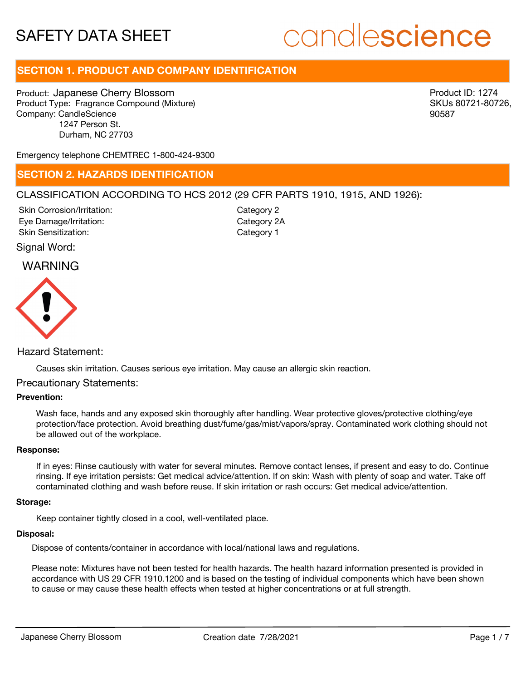# candlescience

# **SECTION 1. PRODUCT AND COMPANY IDENTIFICATION**

Product: Japanese Cherry Blossom Product Type: Fragrance Compound (Mixture) Company: CandleScience 1247 Person St. Durham, NC 27703

Product ID: 1274 SKUs 80721-80726, 90587

Emergency telephone CHEMTREC 1-800-424-9300

### **SECTION 2. HAZARDS IDENTIFICATION**

#### CLASSIFICATION ACCORDING TO HCS 2012 (29 CFR PARTS 1910, 1915, AND 1926):

Skin Corrosion/Irritation: Eye Damage/Irritation: Skin Sensitization:

Category 2 Category 2A Category 1

#### Signal Word:

### WARNING



### Hazard Statement:

Causes skin irritation. Causes serious eye irritation. May cause an allergic skin reaction.

#### Precautionary Statements:

#### **Prevention:**

Wash face, hands and any exposed skin thoroughly after handling. Wear protective gloves/protective clothing/eye protection/face protection. Avoid breathing dust/fume/gas/mist/vapors/spray. Contaminated work clothing should not be allowed out of the workplace.

#### **Response:**

If in eyes: Rinse cautiously with water for several minutes. Remove contact lenses, if present and easy to do. Continue rinsing. If eye irritation persists: Get medical advice/attention. If on skin: Wash with plenty of soap and water. Take off contaminated clothing and wash before reuse. If skin irritation or rash occurs: Get medical advice/attention.

#### **Storage:**

Keep container tightly closed in a cool, well-ventilated place.

#### **Disposal:**

Dispose of contents/container in accordance with local/national laws and regulations.

Please note: Mixtures have not been tested for health hazards. The health hazard information presented is provided in accordance with US 29 CFR 1910.1200 and is based on the testing of individual components which have been shown to cause or may cause these health effects when tested at higher concentrations or at full strength.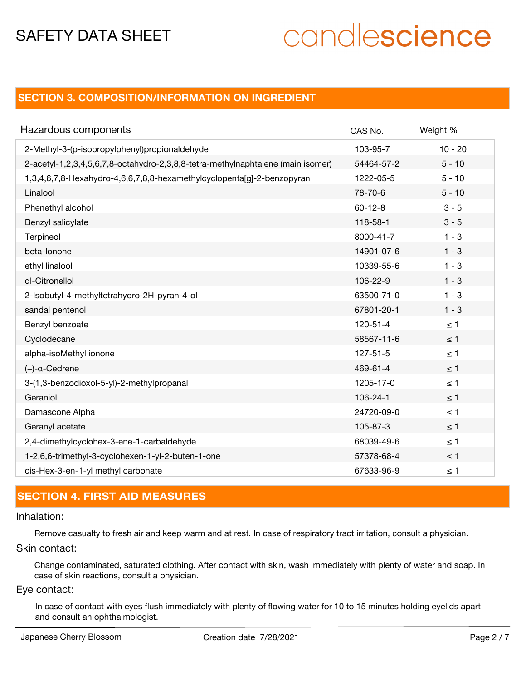# candlescience

# **SECTION 3. COMPOSITION/INFORMATION ON INGREDIENT**

| Hazardous components                                                            | CAS No.        | Weight %  |
|---------------------------------------------------------------------------------|----------------|-----------|
| 2-Methyl-3-(p-isopropylphenyl)propionaldehyde                                   | 103-95-7       | $10 - 20$ |
| 2-acetyl-1,2,3,4,5,6,7,8-octahydro-2,3,8,8-tetra-methylnaphtalene (main isomer) | 54464-57-2     | $5 - 10$  |
| 1,3,4,6,7,8-Hexahydro-4,6,6,7,8,8-hexamethylcyclopenta[g]-2-benzopyran          | 1222-05-5      | $5 - 10$  |
| Linalool                                                                        | 78-70-6        | $5 - 10$  |
| Phenethyl alcohol                                                               | $60 - 12 - 8$  | $3 - 5$   |
| Benzyl salicylate                                                               | 118-58-1       | $3 - 5$   |
| Terpineol                                                                       | 8000-41-7      | $1 - 3$   |
| beta-lonone                                                                     | 14901-07-6     | $1 - 3$   |
| ethyl linalool                                                                  | 10339-55-6     | $1 - 3$   |
| dl-Citronellol                                                                  | 106-22-9       | $1 - 3$   |
| 2-Isobutyl-4-methyltetrahydro-2H-pyran-4-ol                                     | 63500-71-0     | $1 - 3$   |
| sandal pentenol                                                                 | 67801-20-1     | $1 - 3$   |
| Benzyl benzoate                                                                 | $120 - 51 - 4$ | $\leq 1$  |
| Cyclodecane                                                                     | 58567-11-6     | $\leq$ 1  |
| alpha-isoMethyl ionone                                                          | $127 - 51 - 5$ | $\leq 1$  |
| $(-)$ -a-Cedrene                                                                | 469-61-4       | $\leq$ 1  |
| 3-(1,3-benzodioxol-5-yl)-2-methylpropanal                                       | 1205-17-0      | $\leq 1$  |
| Geraniol                                                                        | 106-24-1       | $\leq 1$  |
| Damascone Alpha                                                                 | 24720-09-0     | $\leq 1$  |
| Geranyl acetate                                                                 | 105-87-3       | $\leq$ 1  |
| 2,4-dimethylcyclohex-3-ene-1-carbaldehyde                                       | 68039-49-6     | $\leq 1$  |
| 1-2,6,6-trimethyl-3-cyclohexen-1-yl-2-buten-1-one                               | 57378-68-4     | $\leq 1$  |
| cis-Hex-3-en-1-yl methyl carbonate                                              | 67633-96-9     | $\leq 1$  |

# **SECTION 4. FIRST AID MEASURES**

#### Inhalation:

Remove casualty to fresh air and keep warm and at rest. In case of respiratory tract irritation, consult a physician.

Skin contact:

Change contaminated, saturated clothing. After contact with skin, wash immediately with plenty of water and soap. In case of skin reactions, consult a physician.

#### Eye contact:

In case of contact with eyes flush immediately with plenty of flowing water for 10 to 15 minutes holding eyelids apart and consult an ophthalmologist.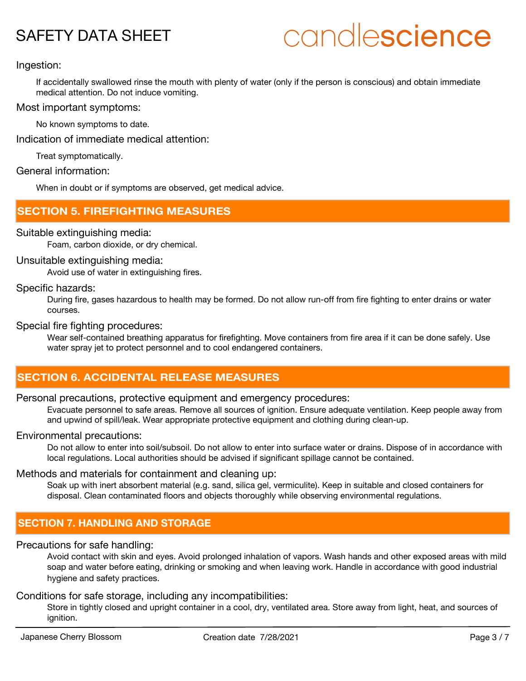# candlescience

#### Ingestion:

If accidentally swallowed rinse the mouth with plenty of water (only if the person is conscious) and obtain immediate medical attention. Do not induce vomiting.

#### Most important symptoms:

No known symptoms to date.

Indication of immediate medical attention:

Treat symptomatically.

#### General information:

When in doubt or if symptoms are observed, get medical advice.

### **SECTION 5. FIREFIGHTING MEASURES**

#### Suitable extinguishing media:

Foam, carbon dioxide, or dry chemical.

#### Unsuitable extinguishing media:

Avoid use of water in extinguishing fires.

#### Specific hazards:

During fire, gases hazardous to health may be formed. Do not allow run-off from fire fighting to enter drains or water courses.

#### Special fire fighting procedures:

Wear self-contained breathing apparatus for firefighting. Move containers from fire area if it can be done safely. Use water spray jet to protect personnel and to cool endangered containers.

# **SECTION 6. ACCIDENTAL RELEASE MEASURES**

#### Personal precautions, protective equipment and emergency procedures:

Evacuate personnel to safe areas. Remove all sources of ignition. Ensure adequate ventilation. Keep people away from and upwind of spill/leak. Wear appropriate protective equipment and clothing during clean-up.

#### Environmental precautions:

Do not allow to enter into soil/subsoil. Do not allow to enter into surface water or drains. Dispose of in accordance with local regulations. Local authorities should be advised if significant spillage cannot be contained.

#### Methods and materials for containment and cleaning up:

Soak up with inert absorbent material (e.g. sand, silica gel, vermiculite). Keep in suitable and closed containers for disposal. Clean contaminated floors and objects thoroughly while observing environmental regulations.

## **SECTION 7. HANDLING AND STORAGE**

#### Precautions for safe handling:

Avoid contact with skin and eyes. Avoid prolonged inhalation of vapors. Wash hands and other exposed areas with mild soap and water before eating, drinking or smoking and when leaving work. Handle in accordance with good industrial hygiene and safety practices.

#### Conditions for safe storage, including any incompatibilities:

Store in tightly closed and upright container in a cool, dry, ventilated area. Store away from light, heat, and sources of ignition.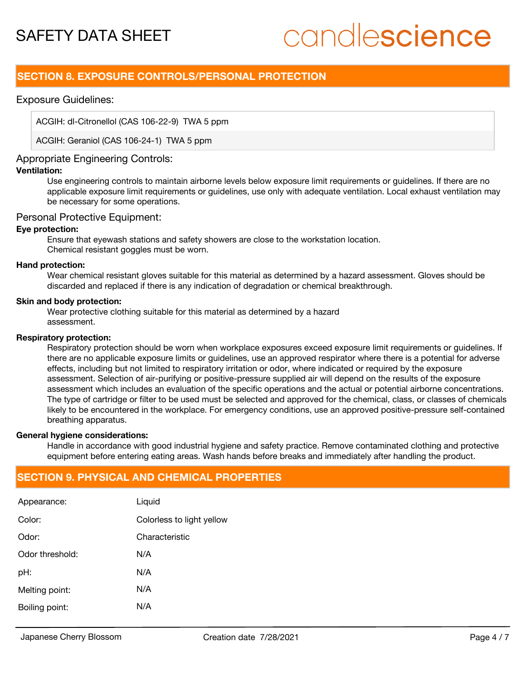# candlescience

## **SECTION 8. EXPOSURE CONTROLS/PERSONAL PROTECTION**

#### Exposure Guidelines:

ACGIH: dl-Citronellol (CAS 106-22-9) TWA 5 ppm

ACGIH: Geraniol (CAS 106-24-1) TWA 5 ppm

#### Appropriate Engineering Controls:

#### **Ventilation:**

Use engineering controls to maintain airborne levels below exposure limit requirements or guidelines. If there are no applicable exposure limit requirements or guidelines, use only with adequate ventilation. Local exhaust ventilation may be necessary for some operations.

#### Personal Protective Equipment:

#### **Eye protection:**

Ensure that eyewash stations and safety showers are close to the workstation location. Chemical resistant goggles must be worn.

#### **Hand protection:**

Wear chemical resistant gloves suitable for this material as determined by a hazard assessment. Gloves should be discarded and replaced if there is any indication of degradation or chemical breakthrough.

#### **Skin and body protection:**

Wear protective clothing suitable for this material as determined by a hazard assessment.

#### **Respiratory protection:**

Respiratory protection should be worn when workplace exposures exceed exposure limit requirements or guidelines. If there are no applicable exposure limits or guidelines, use an approved respirator where there is a potential for adverse effects, including but not limited to respiratory irritation or odor, where indicated or required by the exposure assessment. Selection of air-purifying or positive-pressure supplied air will depend on the results of the exposure assessment which includes an evaluation of the specific operations and the actual or potential airborne concentrations. The type of cartridge or filter to be used must be selected and approved for the chemical, class, or classes of chemicals likely to be encountered in the workplace. For emergency conditions, use an approved positive-pressure self-contained breathing apparatus.

#### **General hygiene considerations:**

Handle in accordance with good industrial hygiene and safety practice. Remove contaminated clothing and protective equipment before entering eating areas. Wash hands before breaks and immediately after handling the product.

## **SECTION 9. PHYSICAL AND CHEMICAL PROPERTIES**

| Appearance:     | Liquid                    |
|-----------------|---------------------------|
| Color:          | Colorless to light yellow |
| Odor:           | Characteristic            |
| Odor threshold: | N/A                       |
| pH:             | N/A                       |
| Melting point:  | N/A                       |
| Boiling point:  | N/A                       |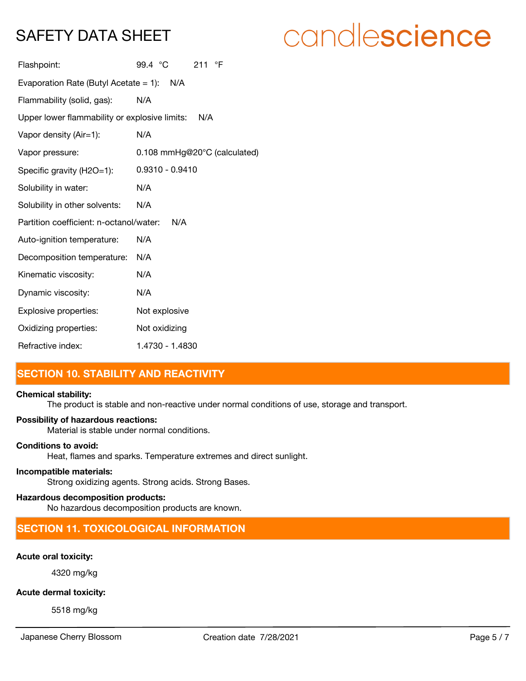# candlescience

| Flashpoint:                                          | 99.4 °C<br>211 $\degree$ F   |  |  |
|------------------------------------------------------|------------------------------|--|--|
| Evaporation Rate (Butyl Acetate = 1): $N/A$          |                              |  |  |
| Flammability (solid, gas):                           | N/A                          |  |  |
| Upper lower flammability or explosive limits:<br>N/A |                              |  |  |
| Vapor density (Air=1):                               | N/A                          |  |  |
| Vapor pressure:                                      | 0.108 mmHg@20°C (calculated) |  |  |
| Specific gravity (H2O=1):                            | $0.9310 - 0.9410$            |  |  |
| Solubility in water:                                 | N/A                          |  |  |
| Solubility in other solvents:                        | N/A                          |  |  |
| Partition coefficient: n-octanol/water:              | N/A                          |  |  |
| Auto-ignition temperature:                           | N/A                          |  |  |
| Decomposition temperature:                           | N/A                          |  |  |
| Kinematic viscosity:                                 | N/A                          |  |  |
| Dynamic viscosity:                                   | N/A                          |  |  |
| Explosive properties:                                | Not explosive                |  |  |
| Oxidizing properties:                                | Not oxidizing                |  |  |
| Refractive index:                                    | 1.4730 - 1.4830              |  |  |

# **SECTION 10. STABILITY AND REACTIVITY**

#### **Chemical stability:**

The product is stable and non-reactive under normal conditions of use, storage and transport.

#### **Possibility of hazardous reactions:**

Material is stable under normal conditions.

#### **Conditions to avoid:**

Heat, flames and sparks. Temperature extremes and direct sunlight.

#### **Incompatible materials:**

Strong oxidizing agents. Strong acids. Strong Bases.

#### **Hazardous decomposition products:**

No hazardous decomposition products are known.

# **SECTION 11. TOXICOLOGICAL INFORMATION**

## **Acute oral toxicity:**

4320 mg/kg

### **Acute dermal toxicity:**

5518 mg/kg

Japanese Cherry Blossom Creation date 7/28/2021 Page 5 / 7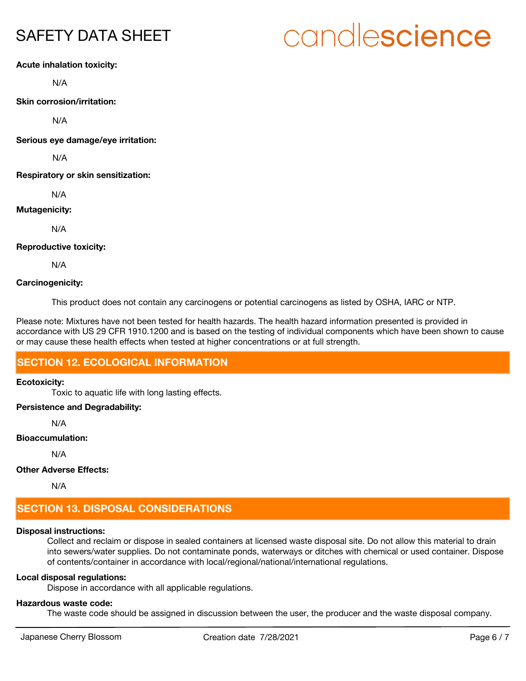# candlescience

#### **Acute inhalation toxicity:**

N/A

**Skin corrosion/irritation:**

N/A

**Serious eye damage/eye irritation:**

N/A

**Respiratory or skin sensitization:**

N/A

#### **Mutagenicity:**

N/A

#### **Reproductive toxicity:**

N/A

#### **Carcinogenicity:**

This product does not contain any carcinogens or potential carcinogens as listed by OSHA, IARC or NTP.

Please note: Mixtures have not been tested for health hazards. The health hazard information presented is provided in accordance with US 29 CFR 1910.1200 and is based on the testing of individual components which have been shown to cause or may cause these health effects when tested at higher concentrations or at full strength.

## **SECTION 12. ECOLOGICAL INFORMATION**

#### **Ecotoxicity:**

Toxic to aquatic life with long lasting effects.

#### **Persistence and Degradability:**

N/A

#### **Bioaccumulation:**

N/A

## **Other Adverse Effects:**

N/A

# **SECTION 13. DISPOSAL CONSIDERATIONS**

### **Disposal instructions:**

Collect and reclaim or dispose in sealed containers at licensed waste disposal site. Do not allow this material to drain into sewers/water supplies. Do not contaminate ponds, waterways or ditches with chemical or used container. Dispose of contents/container in accordance with local/regional/national/international regulations.

#### **Local disposal regulations:**

Dispose in accordance with all applicable regulations.

### **Hazardous waste code:**

The waste code should be assigned in discussion between the user, the producer and the waste disposal company.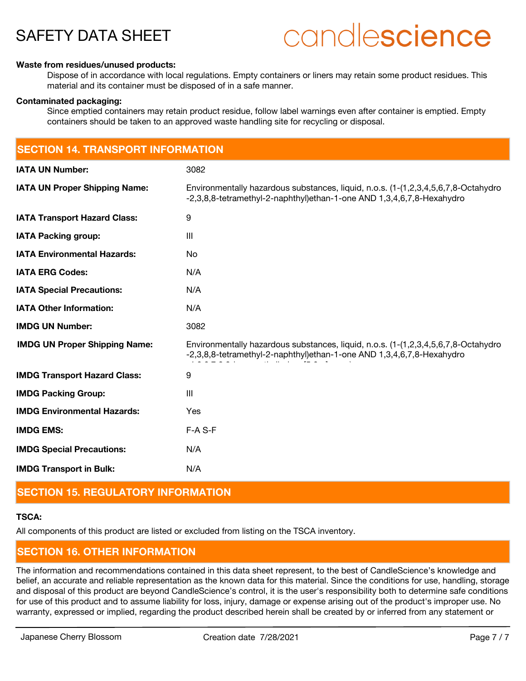# candlescience

#### **Waste from residues/unused products:**

Dispose of in accordance with local regulations. Empty containers or liners may retain some product residues. This material and its container must be disposed of in a safe manner.

#### **Contaminated packaging:**

Since emptied containers may retain product residue, follow label warnings even after container is emptied. Empty containers should be taken to an approved waste handling site for recycling or disposal.

| <b>SECTION 14. TRANSPORT INFORMATION</b> |                                                                                                                                                             |  |
|------------------------------------------|-------------------------------------------------------------------------------------------------------------------------------------------------------------|--|
| <b>IATA UN Number:</b>                   | 3082                                                                                                                                                        |  |
| <b>IATA UN Proper Shipping Name:</b>     | Environmentally hazardous substances, liquid, n.o.s. (1-(1,2,3,4,5,6,7,8-Octahydro<br>-2,3,8,8-tetramethyl-2-naphthyl)ethan-1-one AND 1,3,4,6,7,8-Hexahydro |  |
| <b>IATA Transport Hazard Class:</b>      | 9                                                                                                                                                           |  |
| <b>IATA Packing group:</b>               | $\mathbf{III}$                                                                                                                                              |  |
| <b>IATA Environmental Hazards:</b>       | No                                                                                                                                                          |  |
| <b>IATA ERG Codes:</b>                   | N/A                                                                                                                                                         |  |
| <b>IATA Special Precautions:</b>         | N/A                                                                                                                                                         |  |
| <b>IATA Other Information:</b>           | N/A                                                                                                                                                         |  |
| <b>IMDG UN Number:</b>                   | 3082                                                                                                                                                        |  |
| <b>IMDG UN Proper Shipping Name:</b>     | Environmentally hazardous substances, liquid, n.o.s. (1-(1,2,3,4,5,6,7,8-Octahydro<br>-2,3,8,8-tetramethyl-2-naphthyl)ethan-1-one AND 1,3,4,6,7,8-Hexahydro |  |
| <b>IMDG Transport Hazard Class:</b>      | 9                                                                                                                                                           |  |
| <b>IMDG Packing Group:</b>               | $\mathbf{III}$                                                                                                                                              |  |
| <b>IMDG Environmental Hazards:</b>       | Yes                                                                                                                                                         |  |
| <b>IMDG EMS:</b>                         | F-A S-F                                                                                                                                                     |  |
| <b>IMDG Special Precautions:</b>         | N/A                                                                                                                                                         |  |
| <b>IMDG Transport in Bulk:</b>           | N/A                                                                                                                                                         |  |

# **SECTION 15. REGULATORY INFORMATION**

#### **TSCA:**

All components of this product are listed or excluded from listing on the TSCA inventory.

## **SECTION 16. OTHER INFORMATION**

The information and recommendations contained in this data sheet represent, to the best of CandleScience's knowledge and belief, an accurate and reliable representation as the known data for this material. Since the conditions for use, handling, storage and disposal of this product are beyond CandleScience's control, it is the user's responsibility both to determine safe conditions for use of this product and to assume liability for loss, injury, damage or expense arising out of the product's improper use. No warranty, expressed or implied, regarding the product described herein shall be created by or inferred from any statement or